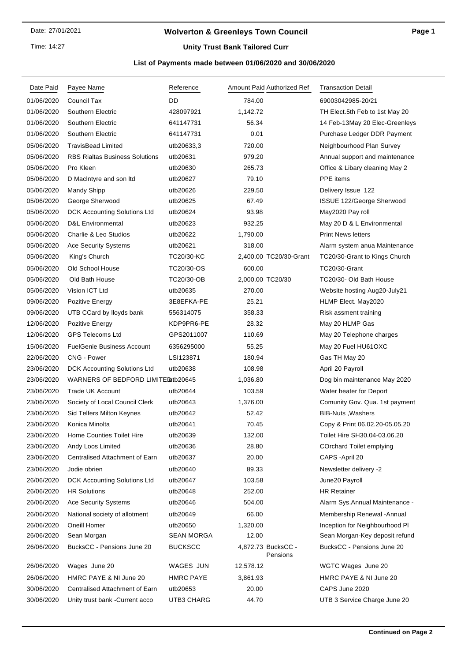Time: 14:27

### **Wolverton & Greenleys Town Council**

## **Unity Trust Bank Tailored Curr**

### **List of Payments made between 01/06/2020 and 30/06/2020**

| Date Paid  | Payee Name                            | Reference        | Amount Paid Authorized Ref     | <b>Transaction Detail</b>       |
|------------|---------------------------------------|------------------|--------------------------------|---------------------------------|
| 01/06/2020 | <b>Council Tax</b>                    | DD               | 784.00                         | 69003042985-20/21               |
| 01/06/2020 | Southern Electric                     | 428097921        | 1,142.72                       | TH Elect.5th Feb to 1st May 20  |
| 01/06/2020 | Southern Electric                     | 641147731        | 56.34                          | 14 Feb-13May 20 Elec-Greenleys  |
| 01/06/2020 | Southern Electric                     | 641147731        | 0.01                           | Purchase Ledger DDR Payment     |
| 05/06/2020 | <b>TravisBead Limited</b>             | utb20633,3       | 720.00                         | Neighbourhood Plan Survey       |
| 05/06/2020 | <b>RBS Rialtas Business Solutions</b> | utb20631         | 979.20                         | Annual support and maintenance  |
| 05/06/2020 | Pro Kleen                             | utb20630         | 265.73                         | Office & Libary cleaning May 2  |
| 05/06/2020 | D MacIntyre and son Itd               | utb20627         | 79.10                          | PPE items                       |
| 05/06/2020 | <b>Mandy Shipp</b>                    | utb20626         | 229.50                         | Delivery Issue 122              |
| 05/06/2020 | George Sherwood                       | utb20625         | 67.49                          | ISSUE 122/George Sherwood       |
| 05/06/2020 | DCK Accounting Solutions Ltd          | utb20624         | 93.98                          | May2020 Pay roll                |
| 05/06/2020 | <b>D&amp;L Environmental</b>          | utb20623         | 932.25                         | May 20 D & L Environmental      |
| 05/06/2020 | Charlie & Leo Studios                 | utb20622         | 1,790.00                       | <b>Print News letters</b>       |
| 05/06/2020 | <b>Ace Security Systems</b>           | utb20621         | 318.00                         | Alarm system anua Maintenance   |
| 05/06/2020 | King's Church                         | TC20/30-KC       | 2,400.00 TC20/30-Grant         | TC20/30-Grant to Kings Church   |
| 05/06/2020 | Old School House                      | TC20/30-OS       | 600.00                         | TC20/30-Grant                   |
| 05/06/2020 | Old Bath House                        | TC20/30-OB       | 2,000.00 TC20/30               | TC20/30- Old Bath House         |
| 05/06/2020 | Vision ICT Ltd                        | utb20635         | 270.00                         | Website hosting Aug20-July21    |
| 09/06/2020 | Pozitive Energy                       | 3E8EFKA-PE       | 25.21                          | HLMP Elect. May2020             |
| 09/06/2020 | UTB CCard by lloyds bank              | 556314075        | 358.33                         | Risk assment training           |
| 12/06/2020 | Pozitive Energy                       | KDP9PR6-PE       | 28.32                          | May 20 HLMP Gas                 |
| 12/06/2020 | <b>GPS Telecoms Ltd</b>               | GPS2011007       | 110.69                         | May 20 Telephone charges        |
| 15/06/2020 | <b>FuelGenie Business Account</b>     | 6356295000       | 55.25                          | May 20 Fuel HU61OXC             |
| 22/06/2020 | CNG - Power                           | LSI123871        | 180.94                         | Gas TH May 20                   |
| 23/06/2020 | DCK Accounting Solutions Ltd          | utb20638         | 108.98                         | April 20 Payroll                |
| 23/06/2020 | WARNERS OF BEDFORD LIMITED tb20645    |                  | 1,036.80                       | Dog bin maintenance May 2020    |
| 23/06/2020 | Trade UK Account                      | utb20644         | 103.59                         | Water heater for Deport         |
| 23/06/2020 | Society of Local Council Clerk        | utb20643         | 1,376.00                       | Comunity Gov. Qua. 1st payment  |
| 23/06/2020 | Sid Telfers Milton Keynes             | utb20642         | 52.42                          | BIB-Nuts, Washers               |
| 23/06/2020 | Konica Minolta                        | utb20641         | 70.45                          | Copy & Print 06.02.20-05.05.20  |
| 23/06/2020 | Home Counties Toilet Hire             | utb20639         | 132.00                         | Toilet Hire SH30.04-03.06.20    |
| 23/06/2020 | Andy Loos Limited                     | utb20636         | 28.80                          | <b>COrchard Toilet emptying</b> |
| 23/06/2020 | Centralised Attachment of Earn        | utb20637         | 20.00                          | CAPS - April 20                 |
| 23/06/2020 | Jodie obrien                          | utb20640         | 89.33                          | Newsletter delivery -2          |
| 26/06/2020 | DCK Accounting Solutions Ltd          | utb20647         | 103.58                         | June20 Payroll                  |
| 26/06/2020 | <b>HR Solutions</b>                   | utb20648         | 252.00                         | <b>HR Retainer</b>              |
| 26/06/2020 | Ace Security Systems                  | utb20646         | 504.00                         | Alarm Sys.Annual Maintenance -  |
| 26/06/2020 | National society of allotment         | utb20649         | 66.00                          | Membership Renewal - Annual     |
| 26/06/2020 | Oneill Homer                          | utb20650         | 1,320.00                       | Inception for Neighbourhood PI  |
| 26/06/2020 | Sean Morgan                           | SEAN MORGA       | 12.00                          | Sean Morgan-Key deposit refund  |
| 26/06/2020 | BucksCC - Pensions June 20            | <b>BUCKSCC</b>   | 4,872.73 BucksCC -<br>Pensions | BucksCC - Pensions June 20      |
| 26/06/2020 | Wages June 20                         | WAGES JUN        | 12,578.12                      | WGTC Wages June 20              |
| 26/06/2020 | HMRC PAYE & NI June 20                | <b>HMRC PAYE</b> | 3,861.93                       | HMRC PAYE & NI June 20          |
| 30/06/2020 | Centralised Attachment of Earn        | utb20653         | 20.00                          | CAPS June 2020                  |
| 30/06/2020 | Unity trust bank - Current acco       | UTB3 CHARG       | 44.70                          | UTB 3 Service Charge June 20    |